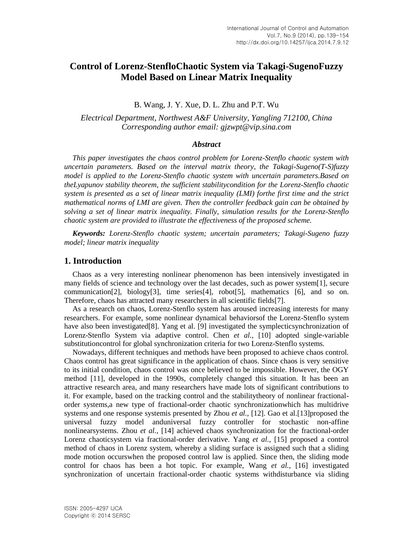# **Control of Lorenz-StenfloChaotic System via Takagi-SugenoFuzzy Model Based on Linear Matrix Inequality**

## B. Wang, J. Y. Xue, D. L. Zhu and P.T. Wu

*Electrical Department, Northwest A&F University, Yangling 712100, China Corresponding author email: gjzwpt@vip.sina.com*

### *Abstract*

*This paper investigates the chaos control problem for Lorenz-Stenflo chaotic system with uncertain parameters. Based on the interval matrix theory, the Takagi-Sugeno(T-S)fuzzy model is applied to the Lorenz-Stenflo chaotic system with uncertain parameters.Based on theLyapunov stability theorem, the sufficient stabilitycondition for the Lorenz-Stenflo chaotic system is presented as a set of linear matrix inequality (LMI) forthe first time and the strict mathematical norms of LMI are given. Then the controller feedback gain can be obtained by solving a set of linear matrix inequality. Finally, simulation results for the Lorenz-Stenflo chaotic system are provided to illustrate the effectiveness of the proposed scheme.*

*Keywords: Lorenz-Stenflo chaotic system; uncertain parameters; Takagi-Sugeno fuzzy model; linear matrix inequality*

# **1. Introduction**

Chaos as a very interesting nonlinear phenomenon has been intensively investigated in many fields of science and technology over the last decades, such as power system[1], secure communication[2], biology[3], time series[4], robot[5], mathematics [6], and so on. Therefore, chaos has attracted many researchers in all scientific fields[7].

As a research on chaos, Lorenz-Stenflo system has aroused increasing interests for many researchers. For example, some nonlinear dynamical behaviorsof the Lorenz-Stenflo system have also been investigated[8]. Yang et al. [9] investigated the symplecticsynchronization of Lorenz-Stenflo System via adaptive control. Chen *et al.*, [10] adopted single-variable substitutioncontrol for global synchronization criteria for two Lorenz-Stenflo systems.

Nowadays, different techniques and methods have been proposed to achieve chaos control. Chaos control has great significance in the application of chaos. Since chaos is very sensitive to its initial condition, chaos control was once believed to be impossible. However, the OGY method [11], developed in the 1990s, completely changed this situation. It has been an attractive research area, and many researchers have made lots of significant contributions to it. For example, based on the tracking control and the stabilitytheory of nonlinear fractionalorder systems,a new type of fractional-order chaotic synchronizationwhich has multidrive systems and one response systemis presented by Zhou *et al.*, [12]. Gao et al.[13]proposed the universal fuzzy model anduniversal fuzzy controller for stochastic non-affine nonlinearsystems. Zhou *et al.*, [14] achieved chaos synchronization for the fractional-order Lorenz chaoticsystem via fractional-order derivative. Yang *et al.*, [15] proposed a control method of chaos in Lorenz system, whereby a sliding surface is assigned such that a sliding mode motion occurswhen the proposed control law is applied. Since then, the sliding mode control for chaos has been a hot topic. For example, Wang *et al.*, [16] investigated synchronization of uncertain fractional-order chaotic systems withdisturbance via sliding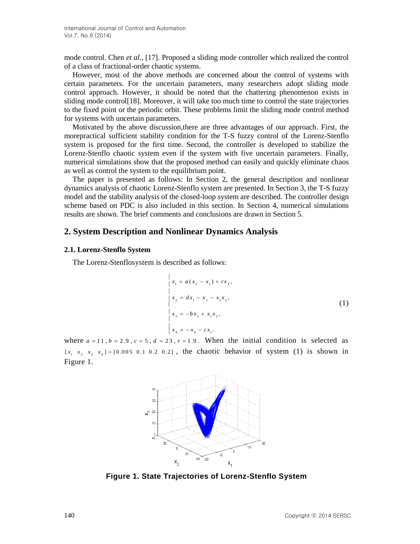mode control. Chen *et al.*, [17]. Proposed a sliding mode controller which realized the control of a class of fractional-order chaotic systems.

However, most of the above methods are concerned about the control of systems with certain parameters. For the uncertain parameters, many researchers adopt sliding mode control approach. However, it should be noted that the chattering phenomenon exists in sliding mode control[18]. Moreover, it will take too much time to control the state trajectories to the fixed point or the periodic orbit. These problems limit the sliding mode control method for systems with uncertain parameters.

Motivated by the above discussion,there are three advantages of our approach. First, the morepractical sufficient stability condition for the T-S fuzzy control of the Lorenz-Stenflo system is proposed for the first time. Second, the controller is developed to stabilize the Lorenz-Stenflo chaotic system even if the system with five uncertain parameters. Finally, numerical simulations show that the proposed method can easily and quickly eliminate chaos as well as control the system to the equilibrium point.

The paper is presented as follows: In Section 2, the general description and nonlinear dynamics analysis of chaotic Lorenz-Stenflo system are presented. In Section 3, the T-S fuzzy model and the stability analysis of the closed-loop system are described. The controller design scheme based on PDC is also included in this section. In Section 4, numerical simulations results are shown. The brief comments and conclusions are drawn in Section 5.

# **2. System Description and Nonlinear Dynamics Analysis**

#### **2.1. Lorenz-Stenflo System**

The Lorenz-Stenflosystem is described as follows:

$$
\begin{cases}\n x_1 = a(x_2 - x_1) + rx_4, \\
 x_2 = dx_1 - x_2 - x_1x_3, \\
 x_3 = -bx_3 + x_1x_2, \\
 x_4 = -x_4 - cx_1.\n\end{cases}
$$
\n(1)

where  $a = 11$ ,  $b = 2.9$ ,  $c = 5$ ,  $d = 23$ ,  $r = 1.9$ . When the initial condition is selected as  $[x_1 \ x_2 \ x_3 \ x_4] = [0.005 \ 0.1 \ 0.2 \ 0.2]$ , the chaotic behavior of system (1) is shown in Figure 1.



**Figure 1. State Trajectories of Lorenz-Stenflo System**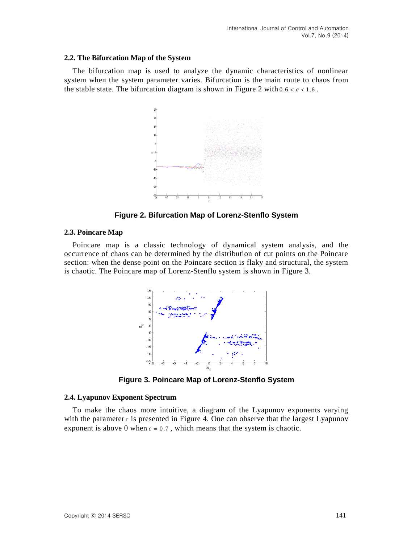#### **2.2. The Bifurcation Map of the System**

The bifurcation map is used to analyze the dynamic characteristics of nonlinear system when the system parameter varies. Bifurcation is the main route to chaos from the stable state. The bifurcation diagram is shown in Figure 2 with  $0.6 < c < 1.6$ .



**Figure 2. Bifurcation Map of Lorenz-Stenflo System**

#### **2.3. Poincare Map**

Poincare map is a classic technology of dynamical system analysis, and the occurrence of chaos can be determined by the distribution of cut points on the Poincare section: when the dense point on the Poincare section is flaky and structural, the system is chaotic. The Poincare map of Lorenz-Stenflo system is shown in Figure 3.



**Figure 3. Poincare Map of Lorenz-Stenflo System**

#### **2.4. Lyapunov Exponent Spectrum**

To make the chaos more intuitive, a diagram of the Lyapunov exponents varying with the parameter  $c$  is presented in Figure 4. One can observe that the largest Lyapunov exponent is above 0 when  $c = 0.7$ , which means that the system is chaotic.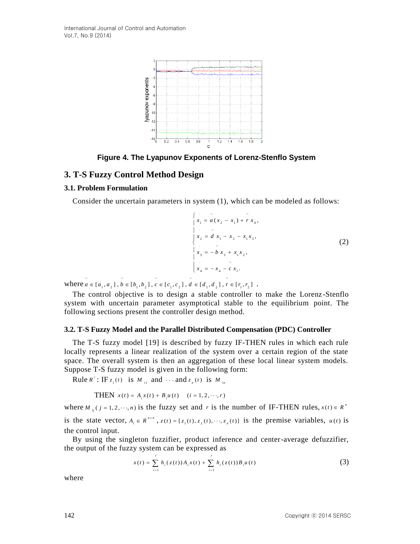

**Figure 4. The Lyapunov Exponents of Lorenz-Stenflo System**

### **3. T-S Fuzzy Control Method Design**

#### **3.1. Problem Formulation**

Consider the uncertain parameters in system (1), which can be modeled as follows:



where  $a \in [a_1, a_2]$ ,  $b \in [b_1, b_2]$ ,  $c \in [c_1, c_2]$ ,  $d \in [d_1, d_2]$ ,  $r \in [r_1, r_2]$ .

The control objective is to design a stable controller to make the Lorenz-Stenflo system with uncertain parameter asymptotical stable to the equilibrium point. The following sections present the controller design method.

#### **3.2. T-S Fuzzy Model and the Parallel Distributed Compensation (PDC) Controller**

The T-S fuzzy model [19] is described by fuzzy IF-THEN rules in which each rule locally represents a linear realization of the system over a certain region of the state space. The overall system is then an aggregation of these local linear system models. Suppose T-S fuzzy model is given in the following form:

Rule  $R^i$ : IF  $z_1(t)$  is  $M_{i1}$  and  $\cdots$  and  $z_n(t)$  is  $M_{i2}$ 

j

**THEN**  $x(t) = A_i x(t) + B_i u(t)$   $(i = 1, 2, \dots, r)$ 

where  $M_{ij}$  ( $j = 1, 2, \dots, n$ ) is the fuzzy set and r is the number of IF-THEN rules,  $x(t) \in R^n$ is the state vector,  $A_i \in R^{n \times n}$ ,  $z(t) = [z_1(t), z_2(t), \dots, z_n(t)]$  is the premise variables,  $u(t)$  is the control input.

By using the singleton fuzzifier, product inference and center-average defuzzifier, the output of the fuzzy system can be expressed as

$$
x(t) = \sum_{i=1}^{r} h_i(z(t)) A_i x(t) + \sum_{i=1}^{r} h_i(z(t)) B_i u(t)
$$
 (3)

where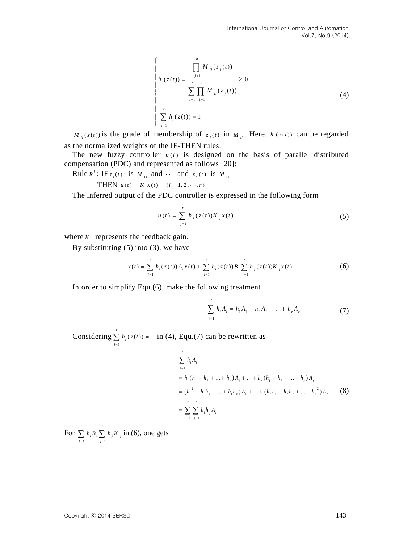$$
\begin{cases}\n\prod_{j=1}^{n} M_{ij}(z_j(t)) \\
h_i(z(t)) = \frac{1}{\sum_{i=1}^{n} \prod_{j=1}^{n} M_{ij}(z_j(t))} \ge 0, \\
\prod_{i=1}^{n} \prod_{j=1}^{n} M_{ij}(z_j(t))\n\end{cases} (4)
$$

 $M_{ij}(z(t))$  is the grade of membership of  $z_j(t)$  in  $M_{ij}$ . Here,  $h_i(z(t))$  can be regarded as the normalized weights of the IF-THEN rules.

The new fuzzy controller  $u(t)$  is designed on the basis of parallel distributed compensation (PDC) and represented as follows [20]:

Rule  $R^i$ : IF  $z_1(t)$  is  $M_{i1}$  and  $\cdots$  and  $z_n(t)$  is  $M_{i2}$ 

THEN  $u(t) = K_i x(t)$   $(i = 1, 2, \dots, r)$ 

The inferred output of the PDC controller is expressed in the following form

$$
u(t) = \sum_{j=1}^{r} h_j(z(t))K_j x(t)
$$
 (5)

where  $K_i$  represents the feedback gain.

By substituting  $(5)$  into  $(3)$ , we have

5) into (3), we have  

$$
x(t) = \sum_{i=1}^{r} h_i(z(t)) A_i x(t) + \sum_{i=1}^{r} h_i(z(t)) B_i \sum_{j=1}^{r} h_j(z(t)) K_j x(t)
$$
(6)

In order to simplify Equ.(6), make the following treatment

$$
\sum_{i=1}^{r} h_i A_i = h_1 A_1 + h_2 A_2 + \dots + h_r A_r
$$
 (7)

Considering 1  $(z(t)) = 1$ *r*  $\sum_{i=1}^{\infty}$ <sup>*i*</sup> *h z t*  $\sum_{i=1} h_i(z(t)) = 1$  in (4), Equ.(7) can be rewritten as

$$
\sum_{i=1}^{r} h_i A_i
$$
\n=  $h_1 (h_1 + h_2 + ... + h_r) A_1 + ... + h_r (h_1 + h_2 + ... + h_r) A_r$   
\n=  $(h_1^2 + h_1 h_2 + ... + h_1 h_r) A_1 + ... + (h_r h_1 + h_r h_2 + ... + h_r^2) A_r$  (8)  
\n=  $\sum_{i=1}^{r} \sum_{j=1}^{r} h_i h_j A_i$ 

For 1  $j=1$ *r r*  $\sum_{i=1}^m i \sum_{j=1}^m i j^m$  *j*  $h_1 B_2 \sum h_2 K$  $\sum_{i=1} h_i B_i \sum_{j=1} h_j K_j$  in (6), one gets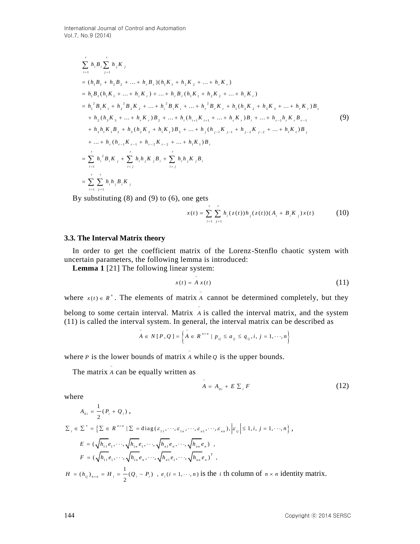No.9 (2014)  
\n
$$
\sum_{i=1}^{r} h_{i}B_{i} \sum_{j=1}^{r} h_{j}K_{j}
$$
\n
$$
= (h_{1}B_{1} + h_{2}B_{2} + ... + h_{r}B_{r})(h_{1}K_{1} + h_{2}K_{2} + ... + h_{r}K_{r})
$$
\n
$$
= h_{1}B_{1}(h_{1}K_{1} + ... + h_{r}K_{r}) + ... + h_{r}B_{r}(h_{1}K_{1} + h_{2}K_{2} + ... + h_{r}K_{r})
$$
\n
$$
= h_{1}^{2}B_{1}K_{1} + h_{2}^{2}B_{2}K_{2} + ... + h_{i}^{2}B_{i}K_{i} + ... + h_{r}^{2}B_{r}K_{r} + h_{1}(h_{2}K_{2} + h_{3}K_{3} + ... + h_{r}K_{r})B_{1}
$$
\n
$$
+ h_{2}(h_{3}K_{3} + ... + h_{r}K_{r})B_{2} + ... + h_{i}(h_{i+1}K_{i+1} + ... + h_{r}K_{r})B_{i} + ... + h_{r-1}h_{r}K_{r}B_{r-1}
$$
\n
$$
+ h_{2}h_{1}K_{1}B_{2} + h_{3}(h_{2}K_{2} + h_{1}K_{1})B_{3} + ... + h_{j}(h_{j-1}K_{j-1} + h_{j-2}K_{j-2} + ... + h_{1}K_{1})B_{j}
$$
\n
$$
+ ... + h_{r}(h_{r-1}K_{r-1} + h_{r-2}K_{r-2} + ... + h_{1}K_{1})B_{r}
$$
\n
$$
= \sum_{i=1}^{r} h_{i}^{2}B_{i}K_{j} + \sum_{i \le j} h_{i}h_{j}K_{j}B_{i} + \sum_{i > j} h_{i}h_{j}K_{j}B_{i}
$$
\n
$$
= \sum_{i=1}^{r} \sum_{j=1}^{r} h_{i}h_{j}B_{i}K_{j}
$$

By substituting  $(8)$  and  $(9)$  to  $(6)$ , one gets

$$
x(t) = \sum_{i=1}^{r} \sum_{j=1}^{r} h_i(z(t))h_j(z(t))(A_i + B_i K_j)x(t)
$$
 (10)

### **3.3. The Interval Matrix theory**

In order to get the coefficient matrix of the Lorenz-Stenflo chaotic system with uncertain parameters, the following lemma is introduced:

**Lemma 1** [21] The following linear system:

$$
x(t) = A x(t) \tag{11}
$$

where  $x(t) \in R^n$ . The elements of matrix A cannot be determined completely, but they

~

~

ł

belong to some certain interval. Matrix A is called the interval matrix, and the system ~ (11) is called the interval system. In general, the interval matrix can be described as

$$
\tilde{A} \in N[P,Q] = \left\{ \tilde{A} \in R^{n \times n} \mid p_{ij} \le a_{ij} \le q_{ij}, i, j = 1, \cdots, n \right\}
$$

where *P* is the lower bounds of matrix  $\overline{A}$  while  $Q$  is the upper bounds.

The matrix  $\tilde{A}$  can be equally written as

$$
A = A_{0i} + E \sum_{i} F \tag{12}
$$

where

$$
A_{0i} = \frac{1}{2}(P_i + Q_i),
$$
  
\n
$$
\sum_{i} \in \sum^* = \left\{ \sum \in R^{n \times n} \mid \sum = \text{diag}(\varepsilon_{11}, \dots, \varepsilon_{1n}, \dots, \varepsilon_{n1}, \dots, \varepsilon_{nn}), \left| \varepsilon_{ij} \right| \le 1, i, j = 1, \dots, n \right\},
$$
  
\n
$$
E = (\sqrt{h_{11}}e_1, \dots, \sqrt{h_{1n}}e_1, \dots, \sqrt{h_{n1}}e_n, \dots, \sqrt{h_{nn}}e_n),
$$
  
\n
$$
F = (\sqrt{h_{11}}e_1, \dots, \sqrt{h_{1n}}e_n, \dots, \sqrt{h_{n1}}e_1, \dots, \sqrt{h_{nn}}e_n)^T,
$$
  
\n
$$
H = (h_{ij})_{n \times n} = H_i = \frac{1}{2}(Q_i - P_i), e_i (i = 1, \dots, n) \text{ is the } i \text{ the column of } n \times n \text{ identity matrix.}
$$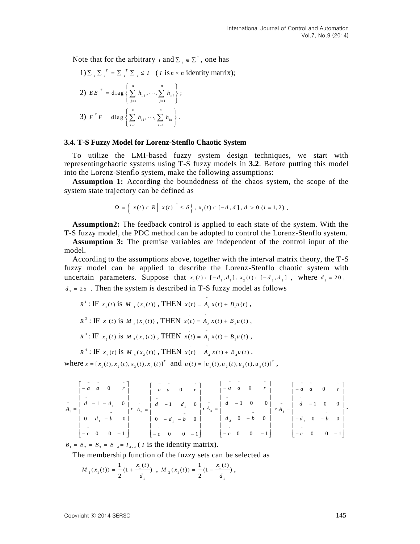Note that for the arbitrary *i* and  $\Sigma_i \in \Sigma^*$ , one has

1) 
$$
\sum_i \sum_i^T = \sum_i^T \sum_i \le I
$$
 (*I* is *n* × *n* identity matrix);  
\n2)  $EE^T = \text{diag}\left\{\sum_{j=1}^n h_{1j}, \dots, \sum_{j=1}^n h_{nj}\right\};$   
\n3)  $F^T F = \text{diag}\left\{\sum_{i=1}^n h_{i1}, \dots, \sum_{i=1}^n h_{in}\right\}.$ 

#### **3.4. T-S Fuzzy Model for Lorenz-Stenflo Chaotic System**

To utilize the LMI-based fuzzy system design techniques, we start with representingchaotic systems using T-S fuzzy models in **3.2**. Before putting this model into the Lorenz-Stenflo system, make the following assumptions:

**Assumption 1:** According the boundedness of the chaos system, the scope of the system state trajectory can be defined as

$$
\Omega = \left\{ x(t) \in R \, \middle| \, \left\| x(t) \right\|^n \le \delta \right\}, x_i(t) \in [-d, d], d > 0 \ (i = 1, 2) \, .
$$

**Assumption2:** The feedback control is applied to each state of the system. With the T-S fuzzy model, the PDC method can be adopted to control the Lorenz-Stenflo system.

**Assumption 3:** The premise variables are independent of the control input of the model.

According to the assumptions above, together with the interval matrix theory, the T-S fuzzy model can be applied to describe the Lorenz-Stenflo chaotic system with uncertain parameters. Suppose that  $x_1(t) \in [-d_1, d_1]$ ,  $x_2(t) \in [-d_2, d_2]$ , where  $d_1 = 20$ ,  $d_2 = 25$ . Then the system is described in T-S fuzzy model as follows

$$
R^{1}: \text{IF } x_{1}(t) \text{ is } M_{1}(x_{1}(t)), \text{ THEN } x(t) = A_{1}x(t) + B_{1}u(t),
$$
\n
$$
R^{2}: \text{IF } x_{1}(t) \text{ is } M_{2}(x_{1}(t)), \text{ THEN } x(t) = A_{2}x(t) + B_{2}u(t),
$$
\n
$$
R^{3}: \text{IF } x_{2}(t) \text{ is } M_{3}(x_{2}(t)), \text{ THEN } x(t) = A_{3}x(t) + B_{3}u(t),
$$

 $R^4$ : IF  $x_2(t)$  is  $M_4(x_2(t))$ , THEN  $x(t) = A_4 x(t) + B_4 u(t)$ .

where  $x = [x_1(t), x_2(t), x_3(t), x_4(t)]^T$  and  $u(t) = [u_1(t), u_2(t), u_3(t), u_4(t)]^T$ ,

$$
\tilde{A}_1 = \begin{bmatrix} -\tilde{a} & \tilde{a} & 0 & \tilde{r} \\ -\tilde{a} & \tilde{a} & 0 & \tilde{r} \\ \tilde{a} & -1 & -d_1 & 0 \\ 0 & d_1 & -\tilde{b} & 0 \\ -\tilde{c} & 0 & 0 & -1 \end{bmatrix}, \quad \tilde{A}_2 = \begin{bmatrix} -\tilde{a} & \tilde{a} & 0 & \tilde{r} \\ -\tilde{a} & \tilde{a} & 0 & \tilde{r} \\ \tilde{a} & -1 & d_1 & 0 \\ 0 & -d_1 & -\tilde{b} & 0 \\ -\tilde{c} & 0 & 0 & -1 \end{bmatrix}, \quad \tilde{A}_3 = \begin{bmatrix} -\tilde{a} & \tilde{a} & 0 & \tilde{r} \\ -\tilde{a} & \tilde{a} & 0 & \tilde{r} \\ \tilde{a} & -1 & 0 & 0 \\ d_2 & 0 & -\tilde{b} & 0 \\ -\tilde{c} & 0 & 0 & -1 \end{bmatrix}, \quad \begin{bmatrix} -\tilde{a} & \tilde{a} & 0 & \tilde{r} \\ -\tilde{a} & \tilde{a} & 0 & \tilde{r} \\ \tilde{a} & -1 & 0 & 0 \\ d_2 & 0 & -\tilde{b} & 0 \\ -\tilde{c} & 0 & 0 & -1 \end{bmatrix}.
$$

 $B_1 = B_2 = B_3 = B_4 = I_{4 \times 4}$  (*I* is the identity matrix).

The membership function of the fuzzy sets can be selected as

$$
M_{\perp}(x_{\scriptscriptstyle 1}(t)) = \frac{1}{2}(1 + \frac{x_{\scriptscriptstyle 1}(t)}{d_{\scriptscriptstyle 1}}) \ , \ M_{\perp}(x_{\scriptscriptstyle 1}(t)) = \frac{1}{2}(1 - \frac{x_{\scriptscriptstyle 1}(t)}{d_{\scriptscriptstyle 1}}) \ ,
$$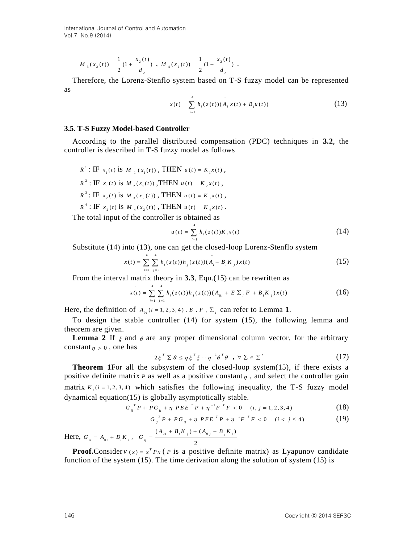$$
M_{3}(x_{2}(t)) = \frac{1}{2}(1 + \frac{x_{2}(t)}{d_{2}}), M_{4}(x_{2}(t)) = \frac{1}{2}(1 - \frac{x_{2}(t)}{d_{2}}).
$$

Therefore, the Lorenz-Stenflo system based on T-S fuzzy model can be represented as

$$
x(t) = \sum_{i=1}^{4} h_i(z(t)) (\tilde{A}_i x(t) + B_i u(t))
$$
 (13)

#### **3.5. T-S Fuzzy Model-based Controller**

According to the parallel distributed compensation (PDC) techniques in **3.2**, the controller is described in T-S fuzzy model as follows

$$
R^{1}: \text{IF } x_{1}(t) \text{ is } M_{1}(x_{1}(t)), \text{ THEN } u(t) = K_{1}x(t),
$$
\n
$$
R^{2}: \text{IF } x_{1}(t) \text{ is } M_{2}(x_{1}(t)), \text{THEN } u(t) = K_{2}x(t),
$$
\n
$$
R^{3}: \text{IF } x_{2}(t) \text{ is } M_{3}(x_{2}(t)), \text{ THEN } u(t) = K_{3}x(t),
$$
\n
$$
R^{4}: \text{IF } x_{2}(t) \text{ is } M_{4}(x_{2}(t)), \text{ THEN } u(t) = K_{4}x(t).
$$

The total input of the controller is obtained as

$$
u(t) = \sum_{i=1}^{4} h_i(z(t))K_i x(t)
$$
 (14)

Substitute (14) into (13), one can get the closed-loop Lorenz-Stenflo system\n
$$
x(t) = \sum_{i=1}^{4} \sum_{j=1}^{4} h_i(z(t)) h_j(z(t)) (A_i + B_i K_j) x(t)
$$
\n(15)

From the interval matrix theory in **3.3**, Equ.(15) can be rewritten as\n
$$
x(t) = \sum_{i=1}^{4} \sum_{j=1}^{4} h_i(z(t))h_j(z(t))(A_{0i} + E \sum_{i} F + B_i K_j)x(t)
$$
\n(16)

Here, the definition of  $A_{0i}(i=1,2,3,4)$ ,  $E$ ,  $F$ ,  $\Sigma_i$  can refer to Lemma 1.

To design the stable controller (14) for system (15), the following lemma and theorem are given.

**Lemma 2** If  $\xi$  and  $\theta$  are any proper dimensional column vector, for the arbitrary constant  $\eta > 0$ , one has

$$
2\xi^T \Sigma \theta \le \eta \xi^T \xi + \eta^{-1} \theta^T \theta \quad , \ \forall \ \Sigma \in \Sigma^* \tag{17}
$$

 $u_1(x_1(t)) = \frac{1}{2}(1 - \frac{2C_1}{d_1})$ ,  $M_1(x_1(t)) = \frac{1}{2}(1 - \frac{2C_1}{d_1})$ .<br>
Therefore, the Lorenz-Stendho system based on T-S fuzzy model can be represented<br>
as<br>
as<br>
146 Copyright to the parallel distributed compression (PDC) te **Theorem 1**For all the subsystem of the closed-loop system(15), if there exists a positive definite matrix  $P$  as well as a positive constant  $\eta$ , and select the controller gain matrix  $K_i$  ( $i = 1, 2, 3, 4$ ) which satisfies the following inequality, the T-S fuzzy model dynamical equation(15) is globally asymptotically stable.<br>  $G_{ii}^T P + PG_{ii} + \eta PEE^T P + \eta^{-1}F^T F < 0$  (*i*, *j* = 1, 2, 3, 4) (18)

$$
G_{ii}^T P + P G_{ii} + \eta P E E^T P + \eta^{-1} F^T F < 0 \quad (i, j = 1, 2, 3, 4) \tag{18}
$$

$$
PG_{ii} + \eta PEE \cdot P + \eta \cdot F \cdot F < 0 \quad (i, j = 1, 2, 3, 4) \tag{18}
$$
\n
$$
G_{ij}^T P + P G_{ij} + \eta PEE \cdot P + \eta^{-1} F \cdot F < 0 \quad (i < j \le 4) \tag{19}
$$

 $G_{ij} P + PG_{ij} + \eta P E E P + \eta$ <br>Here,  $G_{ii} = A_{0i} + B_i K_i$ ,  $G_{ij} = \frac{(A_{0i} + B_i K_j) + (A_{0j} + B_j K_i)}{N}$ 2  $\sum_{i}$  + B<sub>i</sub>K<sub>j</sub> ) + (A<sub>0j</sub> + B<sub>j</sub>K<sub>i</sub>  $i_{ii} = A_{0i} + B_i K_i$ , *G*<sub>ij</sub>  $P + PG_{ij} + \eta PEE P +$ <br>  $A_{0i} + B_i K_j$  +  $(A_{0j} + B_j K_j)$  $G_{ii} = A_{0i} + B_i K_i$ , *G* +  $PG_{ij}$  +  $\eta$   $PEE$   $P$  +  $\tau$ <br>+  $B_i K_j$  ) +  $(A_{0j}$  +  $B_j K_j)$ =  $A_{0i} + B_i K_i$ ,  $G_{ij} = \frac{(A_{0i})}{(A_{0i})}$ 

**Proof.** Consider  $V(x) = x^T P x$  (*P* is a positive definite matrix) as Lyapunov candidate function of the system (15). The time derivation along the solution of system (15) is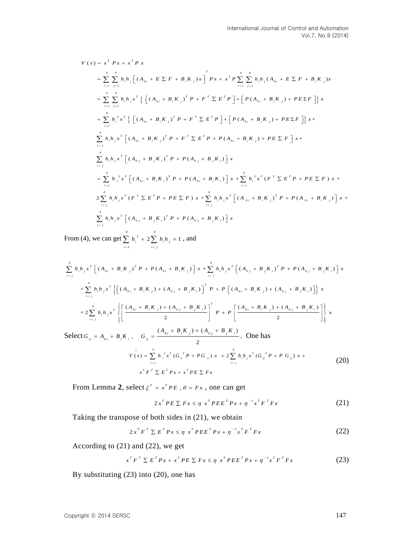$$
V(x) = x^{T} P x + x^{T} P x
$$
  
\n
$$
= \sum_{i=1}^{4} \sum_{j=1}^{4} h_{i} h_{j} \Big[ (A_{0i} + E \sum F + B_{i} K_{j}) x \Big]^{T} P x + x^{T} P \sum_{i=1}^{4} \sum_{j=1}^{4} h_{i} h_{j} (A_{0i} + E \sum F + B_{i} K_{j}) x
$$
  
\n
$$
= \sum_{i=1}^{4} \sum_{j=1}^{4} h_{i} h_{j} x^{T} \Big\{ \Big[ (A_{0i} + B_{i} K_{j})^{T} P + F^{T} \sum E^{T} P \Big] + \Big[ P (A_{0i} + B_{i} K_{j}) + P E \sum F \Big] \Big\} x
$$
  
\n
$$
= \sum_{i=1}^{4} h_{i}^{2} x^{T} \Big\{ \Big[ (A_{0i} + B_{i} K_{j})^{T} P + F^{T} \sum E^{T} P \Big] + \Big[ P (A_{0i} + B_{i} K_{j}) + P E \sum F \Big] \Big\} x +
$$
  
\n
$$
\sum_{i  
\n
$$
\sum_{i>j} h_{i} h_{j} x^{T} \Big[ (A_{0j} + B_{j} K_{i})^{T} P + P (A_{0j} + B_{j} K_{i}) \Big] x
$$
  
\n
$$
= \sum_{i=1}^{4} h_{i}^{2} x^{T} \Big[ (A_{0i} + B_{i} K_{i})^{T} P + P (A_{0i} + B_{i} K_{i}) \Big] x + \sum_{i=1}^{4} h_{i}^{2} x^{T} (F^{T} \sum E^{T} P + P E \sum F) x +
$$
  
\n
$$
2 \sum_{i
$$
$$

From (4), we can get  $\frac{4}{2}$   $\frac{4}{2}$   $\frac{4}{2}$  $\sum_{i=1} h_i^2 + 2 \sum_{i < j} h_i h_j = 1$  $h_i^2 + 2 \sum h_i h_i$ 

From (4), we can get 
$$
\sum_{i=1}^{4} h_{i}^{2} + 2 \sum_{i, and  
\n
$$
\sum_{ij}^{4} h_{i}h_{j}x^{T} \left[ (A_{0j} + B_{j}K_{i})^{T} P + P(A_{0j} + B_{j}K_{i}) \right] x
$$
\n
$$
= \sum_{i\n
$$
= 2 \sum_{i\n
$$
\text{Select } G_{ii} = A_{0i} + B_{i}K_{i}, \quad G_{ij} = \frac{(A_{0i} + B_{i}K_{j}) + (A_{0j} + B_{j}K_{i})}{2}.
$$
 One has  
\n
$$
V(x) = \sum_{i=1}^{4} h_{i}^{2}x^{T} (G_{ii}^{T} P + P G_{ii}) x + 2 \sum_{i
$$
$$
$$
$$

$$
V(x) = \sum_{i=1}^{4} h_i^2 x^T (G_{ii}^T P + PG_{ii}) x + 2 \sum_{i (20)
$$

From Lemma 2, select  $\xi^T = x^T P E$ ,  $\theta = Fx$ , one can get

$$
2x^{T}PE \sum Fx \leq \eta x^{T}PEE^{T}Px + \eta^{-1}x^{T}F^{T}Fx
$$
 (21)

Taking the transpose of both sides in (21), we obtain

$$
2x^T F^T \sum E^T P x \le \eta x^T P E E^T P x + \eta^{-1} x^T F^T F x \tag{22}
$$

According to (21) and (22), we get

1) and (22), we get  

$$
x^T F^T \sum E^T P x + x^T P E \sum F x \le \eta x^T P E E^T P x + \eta^{-1} x^T F^T F x
$$
(23)

By substituting (23) into (20), one has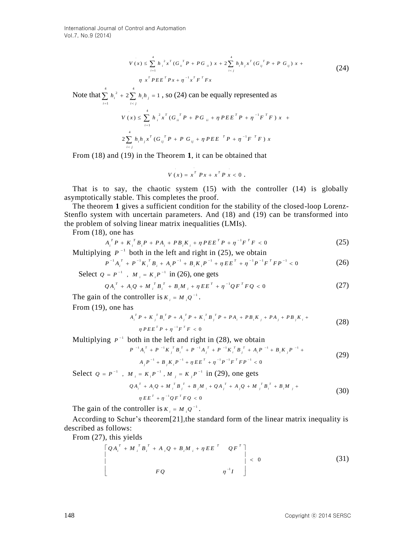International Journal of Control and Automation Vol.7, No.9 (2014)

$$
V(x) \le \sum_{i=1}^{4} h_i^2 x^T (G_{ii}^T P + PG_{ii}) x + 2 \sum_{i < j}^{4} h_i h_j x^T (G_{ij}^T P + P G_{ij}) x +
$$
  
\n
$$
\eta x^T P E E^T P x + \eta^{-1} x^T F^T F x
$$
\n(24)

Note that  $\sum_{i=1}^{4} h_i^2 + 2 \sum_{i=1}^{4} h_i^2$  $\sum_{i=1} h_i^2 + 2 \sum_{i < j} h_i h_j = 1$  $h_i^2 + 2 \sum h_i h_i$  $\sum_{i=1} h_i^2 + 2 \sum_{i < j} h_i h_j = 1$ , so (24) can be equally represented as

$$
V(x) \leq \sum_{i=1}^{4} h_i^2 x^T (G_{ii}^T P + PG_{ii} + \eta P E E^T P + \eta^{-1} F^T F) x +
$$
  

$$
2 \sum_{i < j}^{4} h_i h_j x^T (G_{ij}^T P + PG_{ij} + \eta P E E^T P + \eta^{-1} F^T F) x
$$

From (18) and (19) in the Theorem **1**, it can be obtained that

$$
V(x) = x^T P x + x^T P x < 0.
$$

That is to say, the chaotic system (15) with the controller (14) is globally asymptotically stable. This completes the proof.

The theorem **1** gives a sufficient condition for the stability of the closed-loop Lorenz-Stenflo system with uncertain parameters. And (18) and (19) can be transformed into the problem of solving linear matrix inequalities (LMIs).

From (18), one has

, one has  

$$
A_i^T P + K_i^T B_i^T + P A_i^T + P B_i K_i + \eta P E E^T P + \eta^{-1} F^T F < 0
$$
 (25)

Multiplying 
$$
P^{-1}
$$
 both in the left and right in (25), we obtain  
\n
$$
P^{-1}A_i^T + P^{-1}K_i^T B_i + A_i P^{-1} + B_i K_i P^{-1} + \eta E E^T + \eta^{-1} P^{-1} F^T F P^{-1} < 0
$$
\n(26)

Select 
$$
Q = P^{-1}
$$
,  $M_i = K_i P^{-1}$  in (26), one gets  
\n $QA_i^T + A_i Q + M_i^T B_i^T + B_i M_i + \eta EE^T + \eta^{-1} QF^T F Q < 0$  (

$$
QA_i^T + A_iQ + M_i^T B_i^T + B_i M_i + \eta EE^T + \eta^{-1} QF^T FQ < 0
$$
 (27)

The gain of the controller is  $K_i = M_i Q^{-1}$ .

From (19), one has

$$
S
$$
\n
$$
A_i^T P + K_j^T B_i^T P + A_j^T P + K_i^T B_j^T P + P A_i + P B_i K_j + P A_j + P B_j K_i +
$$
\n
$$
\eta P E E^T P + \eta^{-1} F^T F < 0
$$
\n(28)

Multiplying 
$$
P^{-1}
$$
 both in the left and right in (28), we obtain  
\n
$$
P^{-1}A_i^T + P^{-1}K_j^T B_i^T + P^{-1}A_j^T + P^{-1}K_i^T B_j^T + A_i P^{-1} + B_i K_j P^{-1} + A_j P^{-1} + B_j K_i P^{-1} + B_j K_i P^{-1} + \eta E E^T + \eta^{-1} P^{-1} F^T F P^{-1} < 0
$$
\n(29)

Select  $Q = P^{-1}$ ,  $M_i = K_i P^{-1}$ ,  $M_j = K_j P^{-1}$  in (29), one gets  $\frac{1}{n} + A_i Q + M_i B_j + B_j M_i +$ <br>  $\eta EE^T + \eta^{-1} QF^T F Q < 0$ *T*  $M_i = K_i P$ ,  $M_j = K_j P$  in (29), one gets<br>  $QA_i^T + A_i Q + M_i^T B_j^T + B_j M_i + QA_j^T + A_j Q + M_j^T B_i^T + B_i M_j +$ (30)

The gain of the controller is  $K_i = M_i Q^{-1}$ .

According to Schur's theorem[21],the standard form of the linear matrix inequality is described as follows:

From (27), this yields

, this yields  
\n
$$
\begin{bmatrix}QA_i^T + M_i^T B_i^T + A_i Q + B_i M_i + \eta EE^T & QF^T \end{bmatrix} < 0
$$
\n
$$
\begin{bmatrix}P & P & P \\ P & P & \eta^{-1}I \end{bmatrix} < 0
$$
\n(31)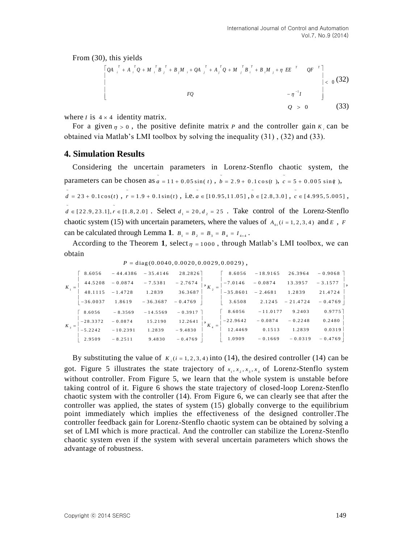From (30), this yields

0 <sup>1</sup> *FQ I QA A Q MB B M QA A Q M B B M EE QF <sup>T</sup> <sup>T</sup> <sup>i</sup> <sup>j</sup> <sup>T</sup> <sup>i</sup> <sup>T</sup> <sup>j</sup> <sup>T</sup> <sup>j</sup> <sup>T</sup> <sup>j</sup> <sup>i</sup> <sup>j</sup> <sup>T</sup> <sup>j</sup> <sup>T</sup> <sup>i</sup> <sup>T</sup> <sup>i</sup> <sup>T</sup> i* (32) *Q* 0 (33)

where *I* is  $4 \times 4$  identity matrix.

For a given  $\eta > 0$ , the positive definite matrix *P* and the controller gain  $K_i$  can be obtained via Matlab's LMI toolbox by solving the inequality (31) , (32) and (33).

# **4. Simulation Results**

Considering the uncertain parameters in Lorenz-Stenflo chaotic system, the parameters can be chosen as  $a = 11 + 0.05 \sin(t)$ ,  $b = 2.9 + 0.1 \cos(t)$ ,  $c = 5 + 0.005 \sin(t)$ ,  $\overline{d}$  = 23 + 0.1 cos(*t*),  $\overline{r}$  = 1.9 + 0.1 sin(*t*), i.e.  $\overline{a}$  = [10.95,11.05],  $\overline{b}$  = [2.8,3.0],  $\overline{c}$  = [4.995,5.005],  $d \in [22.9, 23.1], r \in [1.8, 2.0]$ . Select  $d_1 = 20, d_2 = 25$ . Take control of the Lorenz-Stenflo chaotic system (15) with uncertain parameters, where the values of  $A_{0i}(i = 1, 2, 3, 4)$  and E, F can be calculated through Lemma 1.  $B_1 = B_2 = B_3 = B_4 = I_{4 \times 4}$ .

According to the Theorem 1, select<sub> $\eta$ </sub> = 1000, through Matlab's LMI toolbox, we can obtain

| $P = diag(0.0040, 0.0020, 0.0029, 0.0029)$ , |  |
|----------------------------------------------|--|

| $P = diag(0.0040, 0.0020, 0.0029, 0.0029)$ , |            |            |            |           |                         |            |            |            |           |  |
|----------------------------------------------|------------|------------|------------|-----------|-------------------------|------------|------------|------------|-----------|--|
| $K_{-}$                                      | 8.6056     | $-44.4386$ | $-35.4146$ | 28.2826   |                         | 8.6056     | $-18.9165$ | 26.3964    | $-0.9068$ |  |
|                                              | 44.5208    | $-0.0874$  | $-7.5381$  | $-2.7674$ | $\cdot$ $\cdot$ $K_{2}$ | $-7.0146$  | $-0.0874$  | 13.3957    | $-3.1577$ |  |
|                                              | 48.1115    | $-1.4728$  | 1.2839     | 36.3687   |                         | $-35.8601$ | $-2.4681$  | 1.2839     | 21.4724   |  |
|                                              | $-36.0037$ | 1.8619     | $-36.3687$ | $-0.4769$ |                         | 3.6508     | 2.1245     | $-21.4724$ | $-0.4769$ |  |
|                                              | 8.6056     | $-8.3569$  | $-14.5569$ | $-0.3917$ | $K_{.}$                 | 8.6056     | $-11.0177$ | 9.2403     | 0.9775    |  |
|                                              | $-28.3372$ | $-0.0874$  | 15.2190    | 12.2641   |                         | $-22.9642$ | $-0.0874$  | $-0.2248$  | 0.2480    |  |
|                                              | $-5.2242$  | $-10.2391$ | 1.2839     | $-9.4830$ |                         | 12.4469    | 0.1513     | 1.2839     | 0.0319    |  |
|                                              | 2.9509     | $-8.2511$  | 9.4830     | $-0.4769$ |                         | 1.0909     | $-0.1669$  | $-0.0319$  | $-0.4769$ |  |

By substituting the value of  $K_i$  ( $i = 1, 2, 3, 4$ ) into (14), the desired controller (14) can be got. Figure 5 illustrates the state trajectory of  $x_1, x_2, x_3, x_4$  of Lorenz-Stenflo system without controller. From Figure 5, we learn that the whole system is unstable before taking control of it. Figure 6 shows the state trajectory of closed-loop Lorenz-Stenflo chaotic system with the controller (14). From Figure 6, we can clearly see that after the controller was applied, the states of system (15) globally converge to the equilibrium point immediately which implies the effectiveness of the designed controller.The controller feedback gain for Lorenz-Stenflo chaotic system can be obtained by solving a set of LMI which is more practical. And the controller can stabilize the Lorenz-Stenflo chaotic system even if the system with several uncertain parameters which shows the advantage of robustness.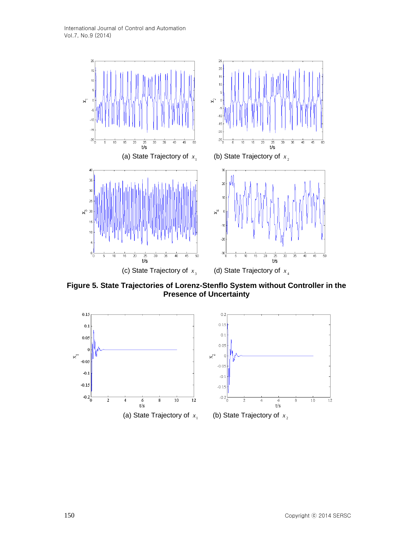International Journal of Control and Automation Vol.7, No.9 (2014)



**Figure 5. State Trajectories of Lorenz-Stenflo System without Controller in the Presence of Uncertainty**

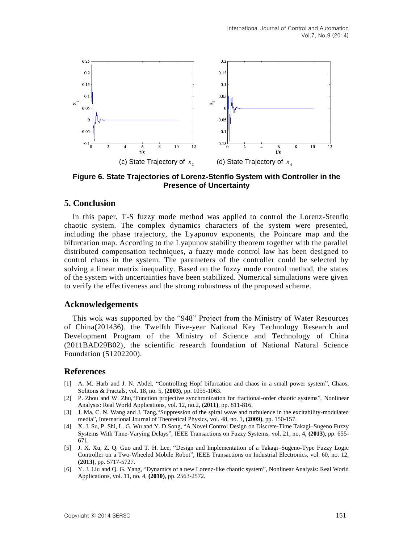

**Figure 6. State Trajectories of Lorenz-Stenflo System with Controller in the Presence of Uncertainty**

### **5. Conclusion**

In this paper, T-S fuzzy mode method was applied to control the Lorenz-Stenflo chaotic system. The complex dynamics characters of the system were presented, including the phase trajectory, the Lyapunov exponents, the Poincare map and the bifurcation map. According to the Lyapunov stability theorem together with the parallel distributed compensation techniques, a fuzzy mode control law has been designed to control chaos in the system. The parameters of the controller could be selected by solving a linear matrix inequality. Based on the fuzzy mode control method, the states of the system with uncertainties have been stabilized. Numerical simulations were given to verify the effectiveness and the strong robustness of the proposed scheme.

# **Acknowledgements**

This wok was supported by the "948" Project from the Ministry of Water Resources of China(201436), the Twelfth Five-year National Key Technology Research and Development Program of the Ministry of Science and Technology of China (2011BAD29B02), the scientific research foundation of National Natural Science Foundation (51202200).

### **References**

- [1] A. M. Harb and J. N. Abdel, "Controlling Hopf bifurcation and chaos in a small power system", Chaos, Solitons & Fractals, vol. 18, no. 5, **(2003)**, pp. 1055-1063.
- [2] P. Zhou and W. Zhu,"Function projective synchronization for fractional-order chaotic systems", Nonlinear Analysis: Real World Applications, vol. 12, no.2, **(2011)**, pp. 811-816.
- [3] J. Ma, C. N. Wang and J. Tang,"Suppression of the spiral wave and turbulence in the excitability-modulated media", International Journal of Theoretical Physics, vol. 48, no. 1, **(2009)**, pp. 150-157.
- [4] X. J. Su, P. Shi, L. G. Wu and Y. D.Song, "A Novel Control Design on Discrete-Time Takagi–Sugeno Fuzzy Systems With Time-Varying Delays", IEEE Transactions on Fuzzy Systems, vol. 21, no. 4, **(2013)**, pp. 655- 671.
- [5] J. X. Xu, Z. Q. Guo and T. H. Lee, "Design and Implementation of a Takagi–Sugeno-Type Fuzzy Logic Controller on a Two-Wheeled Mobile Robot", IEEE Transactions on Industrial Electronics, vol. 60, no. 12, **(2013)**, pp. 5717-5727.
- [6] Y. J. Liu and Q. G. Yang, "Dynamics of a new Lorenz-like chaotic system", Nonlinear Analysis: Real World Applications, vol. 11, no. 4, **(2010)**, pp. 2563-2572.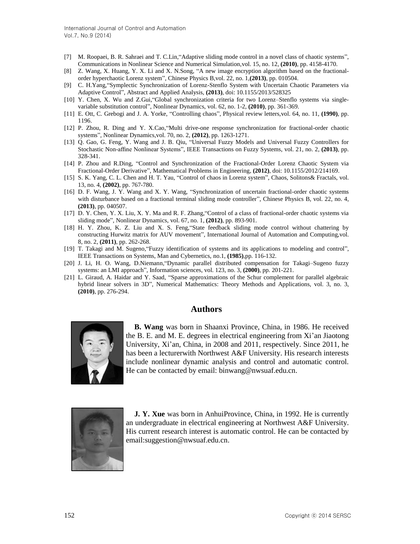- [7] M. Roopaei, B. R. Sahraei and T. C.Lin,"Adaptive sliding mode control in a novel class of chaotic systems", Communications in Nonlinear Science and Numerical Simulation,vol. 15, no. 12, **(2010)**, pp. 4158-4170.
- [8] Z. Wang, X. Huang, Y. X. Li and X. N.Song, "A new image encryption algorithm based on the fractionalorder hyperchaotic Lorenz system", Chinese Physics B,vol. 22, no. 1,**(2013)**, pp. 010504.
- [9] C. H.Yang,"Symplectic Synchronization of Lorenz-Stenflo System with Uncertain Chaotic Parameters via Adaptive Control", Abstract and Applied Analysis, **(2013)**, doi: 10.1155/2013/528325
- [10] Y. Chen, X. Wu and Z.Gui,"Global synchronization criteria for two Lorenz–Stenflo systems via singlevariable substitution control", Nonlinear Dynamics, vol. 62, no. 1-2, **(2010)**, pp. 361-369.
- [11] E. Ott, C. Grebogi and J. A. Yorke, "Controlling chaos", Physical review letters,vol. 64, no. 11, **(1990)**, pp. 1196.
- [12] P. Zhou, R. Ding and Y. X.Cao,"Multi drive-one response synchronization for fractional-order chaotic systems", Nonlinear Dynamics,vol. 70, no. 2, **(2012)**, pp. 1263-1271.
- [13] Q. Gao, G. Feng, Y. Wang and J. B. Qiu, "Universal Fuzzy Models and Universal Fuzzy Controllers for Stochastic Non-affine Nonlinear Systems", IEEE Transactions on Fuzzy Systems, vol. 21, no. 2, **(2013)**, pp. 328-341.
- [14] P. Zhou and R.Ding, "Control and Synchronization of the Fractional-Order Lorenz Chaotic System via Fractional-Order Derivative", Mathematical Problems in Engineering, **(2012)**, doi: 10.1155/2012/214169.
- [15] S. K. Yang, C. L. Chen and H. T. Yau, "Control of chaos in Lorenz system", Chaos, Solitons& Fractals, vol. 13, no. 4, **(2002)**, pp. 767-780.
- [16] D. F. Wang, J. Y. Wang and X. Y. Wang, "Synchronization of uncertain fractional-order chaotic systems with disturbance based on a fractional terminal sliding mode controller", Chinese Physics B, vol. 22, no. 4, **(2013)**, pp. 040507.
- [17] D. Y. Chen, Y. X. Liu, X. Y. Ma and R. F. Zhang,"Control of a class of fractional-order chaotic systems via sliding mode", Nonlinear Dynamics, vol. 67, no. 1, **(2012)**, pp. 893-901.
- [18] H. Y. Zhou, K. Z. Liu and X. S. Feng,"State feedback sliding mode control without chattering by constructing Hurwitz matrix for AUV movement", International Journal of Automation and Computing,vol. 8, no. 2, **(2011)**, pp. 262-268.
- [19] T. Takagi and M. Sugeno,"Fuzzy identification of systems and its applications to modeling and control", IEEE Transactions on Systems, Man and Cybernetics, no.1, **(1985)**,pp. 116-132.
- [20] J. Li, H. O. Wang, D.Niemann,"Dynamic parallel distributed compensation for Takagi–Sugeno fuzzy systems: an LMI approach", Information sciences, vol. 123, no. 3, **(2000)**, pp. 201-221.
- [21] L. Giraud, A. Haidar and Y. Saad, "Sparse approximations of the Schur complement for parallel algebraic hybrid linear solvers in 3D", Numerical Mathematics: Theory Methods and Applications, vol. 3, no. 3, **(2010)**, pp. 276-294.

### **Authors**



**B. Wang** was born in Shaanxi Province, China, in 1986. He received the B. E. and M. E. degrees in electrical engineering from Xi'an Jiaotong University, Xi'an, China, in 2008 and 2011, respectively. Since 2011, he has been a lecturerwith Northwest A&F University. His research interests include nonlinear dynamic analysis and control and automatic control. He can be contacted by email: binwang@nwsuaf.edu.cn.



**J. Y. Xue** was born in AnhuiProvince, China, in 1992. He is currently an undergraduate in electrical engineering at Northwest A&F University. His current research interest is automatic control. He can be contacted by email[:suggestion@nwsuaf.edu.cn.](mailto:suggestion@nwsuaf.edu.cn)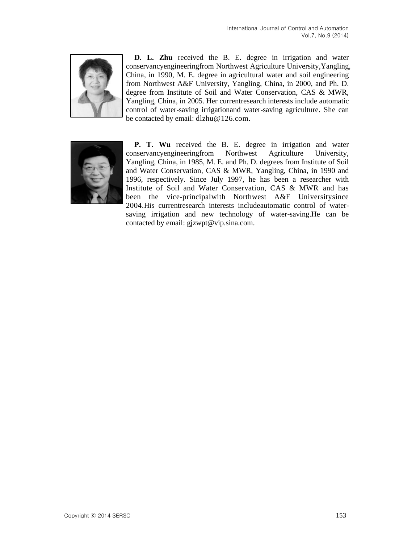

**D. L. Zhu** received the B. E. degree in irrigation and water conservancyengineeringfrom Northwest Agriculture University,Yangling, China, in 1990, M. E. degree in agricultural water and soil engineering from Northwest A&F University, Yangling, China, in 2000, and Ph. D. degree from Institute of Soil and Water Conservation, CAS & MWR, Yangling, China, in 2005. Her currentresearch interests include automatic control of water-saving irrigationand water-saving agriculture. She can be contacted by email: [dlzhu@126.com.](mailto:dlzhu@126.com)



**P. T. Wu** received the B. E. degree in irrigation and water conservancyengineeringfrom Northwest Agriculture University, Yangling, China, in 1985, M. E. and Ph. D. degrees from Institute of Soil and Water Conservation, CAS & MWR, Yangling, China, in 1990 and 1996, respectively. Since July 1997, he has been a researcher with Institute of Soil and Water Conservation, CAS & MWR and has been the vice-principalwith Northwest A&F Universitysince 2004.His currentresearch interests includeautomatic control of watersaving irrigation and new technology of water-saving.He can be contacted by email: gjzwpt@vip.sina.com.